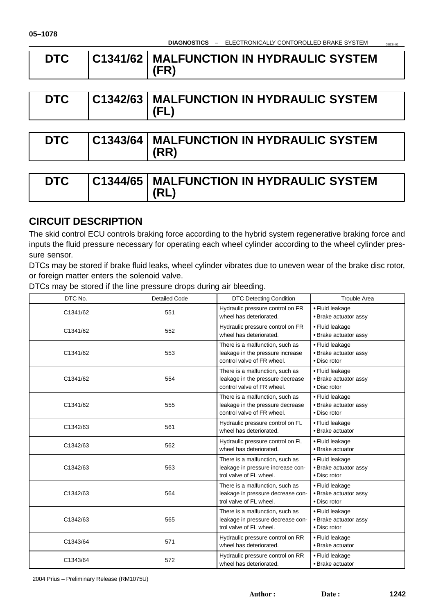| <b>DTC</b> | <b>C1341/62 MALFUNCTION IN HYDRAULIC SYSTEM</b> |
|------------|-------------------------------------------------|
|            | (FR)                                            |

| <b>DTC</b> |  | C1342/63   MALFUNCTION IN HYDRAULIC SYSTEM<br>(FL) |
|------------|--|----------------------------------------------------|
|------------|--|----------------------------------------------------|

| DTC | <b>C1343/64   MALFUNCTION IN HYDRAULIC SYSTEM</b> |  |
|-----|---------------------------------------------------|--|
|     | $ $ (RR)                                          |  |

| <b>DTC</b> | <b>C1344/65   MALFUNCTION IN HYDRAULIC SYSTEM</b> |
|------------|---------------------------------------------------|
|            | (RL                                               |

# **CIRCUIT DESCRIPTION**

The skid control ECU controls braking force according to the hybrid system regenerative braking force and inputs the fluid pressure necessary for operating each wheel cylinder according to the wheel cylinder pressure sensor.

DTCs may be stored if brake fluid leaks, wheel cylinder vibrates due to uneven wear of the brake disc rotor, or foreign matter enters the solenoid valve.

DTCs may be stored if the line pressure drops during air bleeding.

| DTC No.  | <b>Detailed Code</b> |                                                                                                   | <b>Trouble Area</b>                                      |
|----------|----------------------|---------------------------------------------------------------------------------------------------|----------------------------------------------------------|
| C1341/62 | 551                  | Hydraulic pressure control on FR<br>wheel has deteriorated.                                       | • Fluid leakage<br>• Brake actuator assy                 |
| C1341/62 | 552                  | Hydraulic pressure control on FR<br>wheel has deteriorated.                                       | • Fluid leakage<br>· Brake actuator assy                 |
| C1341/62 | 553                  | There is a malfunction, such as<br>leakage in the pressure increase<br>control valve of FR wheel. | • Fluid leakage<br>• Brake actuator assy<br>• Disc rotor |
| C1341/62 | 554                  | There is a malfunction, such as<br>leakage in the pressure decrease<br>control valve of FR wheel. | • Fluid leakage<br>• Brake actuator assy<br>• Disc rotor |
| C1341/62 | 555                  | There is a malfunction, such as<br>leakage in the pressure decrease<br>control valve of FR wheel. | • Fluid leakage<br>• Brake actuator assy<br>• Disc rotor |
| C1342/63 | 561                  | Hydraulic pressure control on FL<br>wheel has deteriorated.                                       | • Fluid leakage<br>• Brake actuator                      |
| C1342/63 | 562                  | Hydraulic pressure control on FL<br>wheel has deteriorated.                                       | • Fluid leakage<br>· Brake actuator                      |
| C1342/63 | 563                  | There is a malfunction, such as<br>leakage in pressure increase con-<br>trol valve of FL wheel.   | • Fluid leakage<br>· Brake actuator assy<br>• Disc rotor |
| C1342/63 | 564                  | There is a malfunction, such as<br>leakage in pressure decrease con-<br>trol valve of FL wheel.   | • Fluid leakage<br>· Brake actuator assy<br>• Disc rotor |
| C1342/63 | 565                  | There is a malfunction, such as<br>leakage in pressure decrease con-<br>trol valve of FL wheel.   | • Fluid leakage<br>· Brake actuator assy<br>• Disc rotor |
| C1343/64 | 571                  | Hydraulic pressure control on RR<br>wheel has deteriorated.                                       | • Fluid leakage<br>· Brake actuator                      |
| C1343/64 | 572                  | Hydraulic pressure control on RR<br>wheel has deteriorated.                                       | • Fluid leakage<br>• Brake actuator                      |

2004 Prius – Preliminary Release (RM1075U)

05IZS–01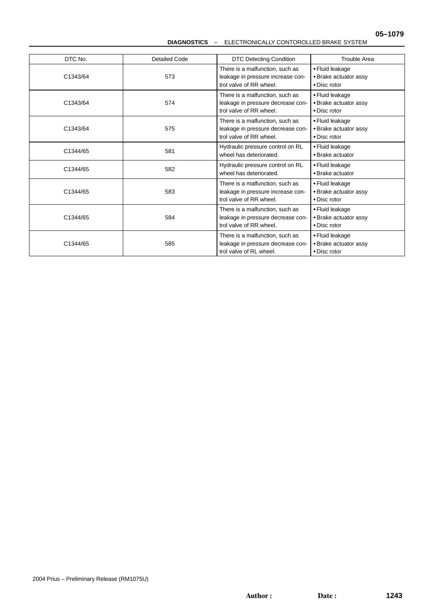#### **DIAGNOSTICS** – ELECTRONICALLY CONTOROLLED BRAKE SYSTEM

| DTC No.         | <b>Detailed Code</b><br><b>DTC Detecting Condition</b>                                                 |                                                                                                 | <b>Trouble Area</b>                                      |
|-----------------|--------------------------------------------------------------------------------------------------------|-------------------------------------------------------------------------------------------------|----------------------------------------------------------|
| C1343/64<br>573 |                                                                                                        | There is a malfunction, such as<br>leakage in pressure increase con-<br>trol valve of RR wheel. | • Fluid leakage<br>• Brake actuator assy<br>• Disc rotor |
| C1343/64        | There is a malfunction, such as<br>574<br>leakage in pressure decrease con-<br>trol valve of RR wheel. |                                                                                                 | • Fluid leakage<br>• Brake actuator assy<br>• Disc rotor |
| C1343/64        | 575                                                                                                    | There is a malfunction, such as<br>leakage in pressure decrease con-<br>trol valve of RR wheel. | • Fluid leakage<br>• Brake actuator assy<br>• Disc rotor |
| C1344/65        | 581                                                                                                    | Hydraulic pressure control on RL<br>wheel has deteriorated.                                     | • Fluid leakage<br>• Brake actuator                      |
| C1344/65        | 582                                                                                                    | Hydraulic pressure control on RL<br>wheel has deteriorated.                                     | • Fluid leakage<br>• Brake actuator                      |
| C1344/65        | 583                                                                                                    | There is a malfunction, such as<br>leakage in pressure increase con-<br>trol valve of RR wheel. | • Fluid leakage<br>· Brake actuator assy<br>• Disc rotor |
| C1344/65        | 584                                                                                                    | There is a malfunction, such as<br>leakage in pressure decrease con-<br>trol valve of RR wheel. | • Fluid leakage<br>• Brake actuator assy<br>• Disc rotor |
| C1344/65        | 585                                                                                                    | There is a malfunction, such as<br>leakage in pressure decrease con-<br>trol valve of RL wheel. | • Fluid leakage<br>• Brake actuator assy<br>• Disc rotor |

Author: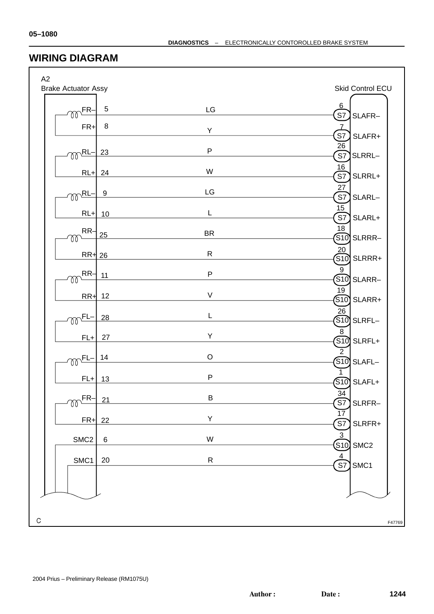### **WIRING DIAGRAM**

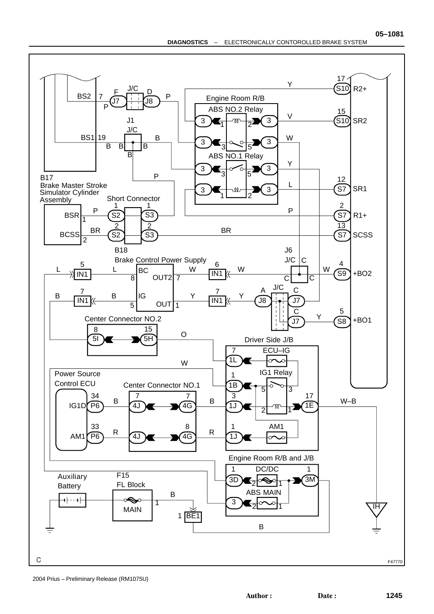

2004 Prius – Preliminary Release (RM1075U)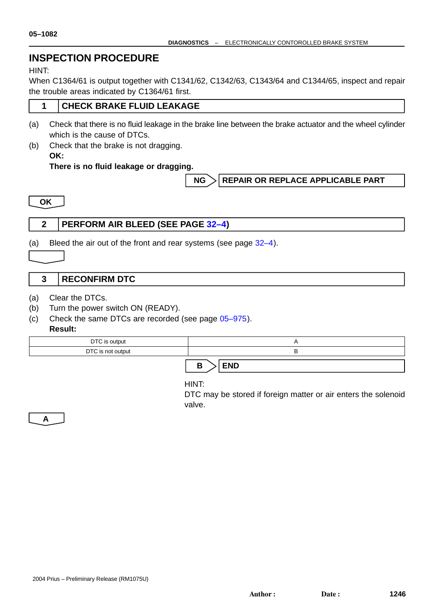# **INSPECTION PROCEDURE**

#### HINT:

When C1364/61 is output together with C1341/62, C1342/63, C1343/64 and C1344/65, inspect and repair the trouble areas indicated by C1364/61 first.

#### **1 CHECK BRAKE FLUID LEAKAGE**

- (a) Check that there is no fluid leakage in the brake line between the brake actuator and the wheel cylinder which is the cause of DTCs.
- (b) Check that the brake is not dragging.
	- **OK:**

**There is no fluid leakage or dragging.**

#### **NG > REPAIR OR REPLACE APPLICABLE PART**

**OK**

### **2 PERFORM AIR BLEED (SEE PAGE 32–4)**

(a) Bleed the air out of the front and rear systems (see page 32–4).

#### **3 RECONFIRM DTC**

- (a) Clear the DTCs.
- (b) Turn the power switch ON (READY).
- (c) Check the same DTCs are recorded (see page 05–975).
	- **Result:**

| DTC is output     |  |  |  |
|-------------------|--|--|--|
| DTC is not output |  |  |  |
|                   |  |  |  |

### $B >$ **END**

HINT:

DTC may be stored if foreign matter or air enters the solenoid valve.

**A**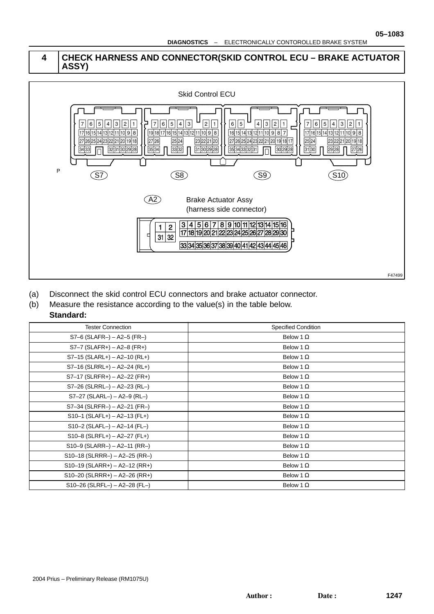#### **4 CHECK HARNESS AND CONNECTOR(SKID CONTROL ECU – BRAKE ACTUATOR ASSY)**



- (a) Disconnect the skid control ECU connectors and brake actuator connector.
- (b) Measure the resistance according to the value(s) in the table below.

#### **Standard:**

| <b>Tester Connection</b>        | <b>Specified Condition</b> |
|---------------------------------|----------------------------|
| $S7-6$ (SLAFR-) - A2-5 (FR-)    | Below 1 $\Omega$           |
| $S7-7$ (SLAFR+) - A2-8 (FR+)    | Below 1 $\Omega$           |
| $S7-15$ (SLARL+) - A2-10 (RL+)  | Below 1 $\Omega$           |
| $S7-16$ (SLRRL+) - A2-24 (RL+)  | Below 1 $\Omega$           |
| $S7-17$ (SLRFR+) - A2-22 (FR+)  | Below 1 $\Omega$           |
| S7-26 (SLRRL-) - A2-23 (RL-)    | Below 1 $\Omega$           |
| $S7-27$ (SLARL-) - A2-9 (RL-)   | Below 1 $\Omega$           |
| $S7-34$ (SLRFR-) – A2-21 (FR-)  | Below 1 $\Omega$           |
| $S10-1$ (SLAFL+) - A2-13 (FL+)  | Below 1 $\Omega$           |
| $S10-2$ (SLAFL-) - A2-14 (FL-)  | Below 1 $\Omega$           |
| $S10-8$ (SLRFL+) - A2-27 (FL+)  | Below 1 $\Omega$           |
| $S10-9$ (SLARR-) - A2-11 (RR-)  | Below 1 $\Omega$           |
| $S10-18$ (SLRRR-) – A2-25 (RR-) | Below 1 $\Omega$           |
| $S10-19$ (SLARR+) - A2-12 (RR+) | Below 1 $\Omega$           |
| $S10-20$ (SLRRR+) - A2-26 (RR+) | Below 1 $\Omega$           |
| $S10-26$ (SLRFL-) - A2-28 (FL-) | Below 1 $\Omega$           |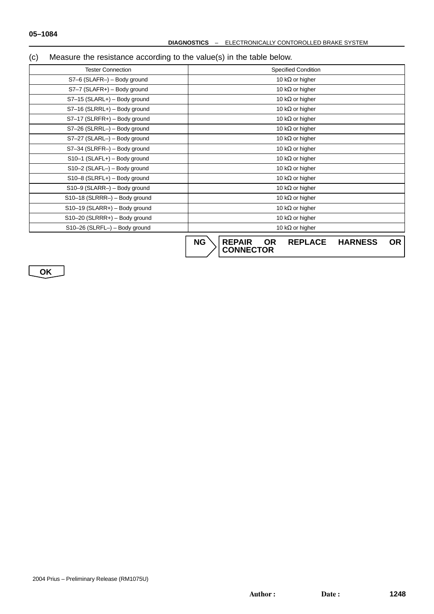### (c) Measure the resistance according to the value(s) in the table below.

| <b>Tester Connection</b>        | <b>Specified Condition</b>                                                               |  |  |
|---------------------------------|------------------------------------------------------------------------------------------|--|--|
| S7-6 (SLAFR-) - Body ground     | 10 k $\Omega$ or higher                                                                  |  |  |
| S7-7 (SLAFR+) - Body ground     | 10 k $\Omega$ or higher                                                                  |  |  |
| S7-15 (SLARL+) - Body ground    | 10 k $\Omega$ or higher                                                                  |  |  |
| S7-16 (SLRRL+) - Body ground    | 10 k $\Omega$ or higher                                                                  |  |  |
| S7-17 (SLRFR+) - Body ground    | 10 k $\Omega$ or higher                                                                  |  |  |
| S7-26 (SLRRL-) - Body ground    | 10 k $\Omega$ or higher                                                                  |  |  |
| S7-27 (SLARL-) - Body ground    | 10 k $\Omega$ or higher                                                                  |  |  |
| S7-34 (SLRFR-) - Body ground    | 10 k $\Omega$ or higher                                                                  |  |  |
| S10-1 (SLAFL+) - Body ground    | 10 k $\Omega$ or higher                                                                  |  |  |
| S10-2 (SLAFL-) - Body ground    | 10 k $\Omega$ or higher                                                                  |  |  |
| S10-8 (SLRFL+) - Body ground    | 10 k $\Omega$ or higher                                                                  |  |  |
| S10-9 (SLARR-) - Body ground    | 10 k $\Omega$ or higher                                                                  |  |  |
| S10-18 (SLRRR-) - Body ground   | 10 k $\Omega$ or higher                                                                  |  |  |
| $S10-19$ (SLARR+) - Body ground | 10 k $\Omega$ or higher                                                                  |  |  |
| $S10-20$ (SLRRR+) - Body ground | 10 k $\Omega$ or higher                                                                  |  |  |
| S10-26 (SLRFL-) - Body ground   | 10 k $\Omega$ or higher                                                                  |  |  |
|                                 | <b>NG</b><br><b>REPAIR</b><br><b>OR</b><br><b>OR</b><br><b>REPLACE</b><br><b>HARNESS</b> |  |  |

**CONNECTOR**

**OK**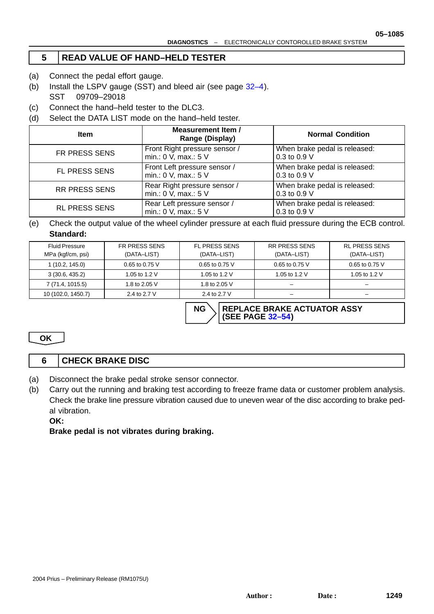**NG \ REPLACE BRAKE ACTUATOR ASSY** 

**(SEE PAGE 32–54)**

#### **5 READ VALUE OF HAND–HELD TESTER**

- (a) Connect the pedal effort gauge.
- (b) Install the LSPV gauge (SST) and bleed air (see page 32–4). SST 09709–29018
- (c) Connect the hand–held tester to the DLC3.
- (d) Select the DATA LIST mode on the hand–held tester.

| <b>Item</b>          | <b>Measurement Item /</b><br><b>Range (Display)</b>   | <b>Normal Condition</b>                       |
|----------------------|-------------------------------------------------------|-----------------------------------------------|
| <b>FR PRESS SENS</b> | Front Right pressure sensor /<br>min.: 0 V, max.: 5 V | When brake pedal is released:<br>0.3 to 0.9 V |
| <b>FL PRESS SENS</b> | Front Left pressure sensor /<br>min.: 0 V, max.: 5 V  | When brake pedal is released:<br>0.3 to 0.9 V |
| <b>RR PRESS SENS</b> | Rear Right pressure sensor /<br>min.: 0 V, max.: 5 V  | When brake pedal is released:<br>0.3 to 0.9 V |
| <b>RL PRESS SENS</b> | Rear Left pressure sensor /<br>min.: 0 V, max.: 5 V   | When brake pedal is released:<br>0.3 to 0.9 V |

(e) Check the output value of the wheel cylinder pressure at each fluid pressure during the ECB control. **Standard:**

| <b>Fluid Pressure</b><br>MPa (kgf/cm, psi) | <b>FR PRESS SENS</b><br>(DATA-LIST) | <b>FL PRESS SENS</b><br>(DATA-LIST) | <b>RR PRESS SENS</b><br>(DATA-LIST) | <b>RL PRESS SENS</b><br>(DATA-LIST) |
|--------------------------------------------|-------------------------------------|-------------------------------------|-------------------------------------|-------------------------------------|
| 1(10.2, 145.0)                             | $0.65$ to 0.75 V                    | 0.65 to 0.75 V                      | 0.65 to 0.75 V                      | 0.65 to 0.75 V                      |
| 3(30.6, 435.2)                             | 1.05 to 1.2 V                       | 1.05 to 1.2 V                       | 1.05 to 1.2 V                       | 1.05 to 1.2 V                       |
| 7 (71.4, 1015.5)                           | 1.8 to 2.05 V                       | 1.8 to 2.05 V                       | -                                   | -                                   |
| 10 (102.0, 1450.7)                         | 2.4 to 2.7 V                        | 2.4 to 2.7 V                        | -                                   | -                                   |

**OK**

## **6 CHECK BRAKE DISC**

- (a) Disconnect the brake pedal stroke sensor connector.
- (b) Carry out the running and braking test according to freeze frame data or customer problem analysis. Check the brake line pressure vibration caused due to uneven wear of the disc according to brake pedal vibration.

**OK:**

**Brake pedal is not vibrates during braking.**

**05–1085**